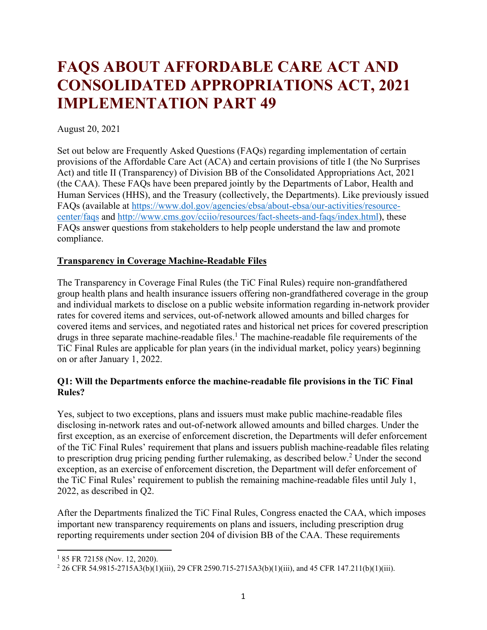# **FAQS ABOUT AFFORDABLE CARE ACT AND CONSOLIDATED APPROPRIATIONS ACT, 2021 IMPLEMENTATION PART 49**

#### August 20, 2021

Set out below are Frequently Asked Questions (FAQs) regarding implementation of certain provisions of the Affordable Care Act (ACA) and certain provisions of title I (the No Surprises Act) and title II (Transparency) of Division BB of the Consolidated Appropriations Act, 2021 (the CAA). These FAQs have been prepared jointly by the Departments of Labor, Health and Human Services (HHS), and the Treasury (collectively, the Departments). Like previously issued FAQs (available at [https://www.dol.gov/agencies/ebsa/about-ebsa/our-activities/resource](https://www.dol.gov/agencies/ebsa/about-ebsa/our-activities/resource-center/faqs)[center/faqs](https://www.dol.gov/agencies/ebsa/about-ebsa/our-activities/resource-center/faqs) and [http://www.cms.gov/cciio/resources/fact-sheets-and-faqs/index.html\)](http://www.cms.gov/cciio/resources/fact-sheets-and-faqs/index.html), these FAQs answer questions from stakeholders to help people understand the law and promote compliance.

#### **Transparency in Coverage Machine-Readable Files**

The Transparency in Coverage Final Rules (the TiC Final Rules) require non-grandfathered group health plans and health insurance issuers offering non-grandfathered coverage in the group and individual markets to disclose on a public website information regarding in-network provider rates for covered items and services, out-of-network allowed amounts and billed charges for covered items and services, and negotiated rates and historical net prices for covered prescription drugs in three separate machine-readable files.<sup>1</sup> The machine-readable file requirements of the TiC Final Rules are applicable for plan years (in the individual market, policy years) beginning on or after January 1, 2022.

## **Q1: Will the Departments enforce the machine-readable file provisions in the TiC Final Rules?**

Yes, subject to two exceptions, plans and issuers must make public machine-readable files disclosing in-network rates and out-of-network allowed amounts and billed charges. Under the first exception, as an exercise of enforcement discretion, the Departments will defer enforcement of the TiC Final Rules' requirement that plans and issuers publish machine-readable files relating to prescription drug pricing pending further rulemaking, as described below.<sup>2</sup> Under the second exception, as an exercise of enforcement discretion, the Department will defer enforcement of the TiC Final Rules' requirement to publish the remaining machine-readable files until July 1, 2022, as described in Q2.

After the Departments finalized the TiC Final Rules, Congress enacted the CAA, which imposes important new transparency requirements on plans and issuers, including prescription drug reporting requirements under section 204 of division BB of the CAA. These requirements

 $\overline{\phantom{a}}$ 

<sup>&</sup>lt;sup>1</sup> 85 FR 72158 (Nov. 12, 2020).

<sup>2</sup> 26 CFR 54.9815-2715A3(b)(1)(iii), 29 CFR 2590.715-2715A3(b)(1)(iii), and 45 CFR 147.211(b)(1)(iii).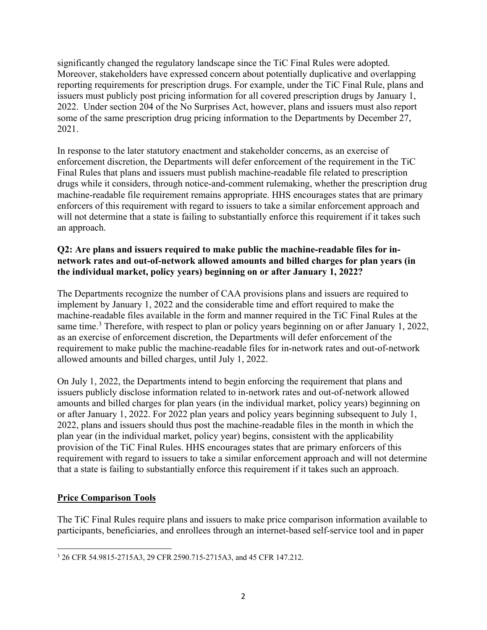significantly changed the regulatory landscape since the TiC Final Rules were adopted. Moreover, stakeholders have expressed concern about potentially duplicative and overlapping reporting requirements for prescription drugs. For example, under the TiC Final Rule, plans and issuers must publicly post pricing information for all covered prescription drugs by January 1, 2022. Under section 204 of the No Surprises Act, however, plans and issuers must also report some of the same prescription drug pricing information to the Departments by December 27, 2021.

In response to the later statutory enactment and stakeholder concerns, as an exercise of enforcement discretion, the Departments will defer enforcement of the requirement in the TiC Final Rules that plans and issuers must publish machine-readable file related to prescription drugs while it considers, through notice-and-comment rulemaking, whether the prescription drug machine-readable file requirement remains appropriate. HHS encourages states that are primary enforcers of this requirement with regard to issuers to take a similar enforcement approach and will not determine that a state is failing to substantially enforce this requirement if it takes such an approach.

## **Q2: Are plans and issuers required to make public the machine-readable files for innetwork rates and out-of-network allowed amounts and billed charges for plan years (in the individual market, policy years) beginning on or after January 1, 2022?**

The Departments recognize the number of CAA provisions plans and issuers are required to implement by January 1, 2022 and the considerable time and effort required to make the machine-readable files available in the form and manner required in the TiC Final Rules at the same time.<sup>3</sup> Therefore, with respect to plan or policy years beginning on or after January 1, 2022, as an exercise of enforcement discretion, the Departments will defer enforcement of the requirement to make public the machine-readable files for in-network rates and out-of-network allowed amounts and billed charges, until July 1, 2022.

On July 1, 2022, the Departments intend to begin enforcing the requirement that plans and issuers publicly disclose information related to in-network rates and out-of-network allowed amounts and billed charges for plan years (in the individual market, policy years) beginning on or after January 1, 2022. For 2022 plan years and policy years beginning subsequent to July 1, 2022, plans and issuers should thus post the machine-readable files in the month in which the plan year (in the individual market, policy year) begins, consistent with the applicability provision of the TiC Final Rules. HHS encourages states that are primary enforcers of this requirement with regard to issuers to take a similar enforcement approach and will not determine that a state is failing to substantially enforce this requirement if it takes such an approach.

# **Price Comparison Tools**

The TiC Final Rules require plans and issuers to make price comparison information available to participants, beneficiaries, and enrollees through an internet-based self-service tool and in paper

 $\overline{\phantom{a}}$ <sup>3</sup> 26 CFR 54.9815-2715A3, 29 CFR 2590.715-2715A3, and 45 CFR 147.212.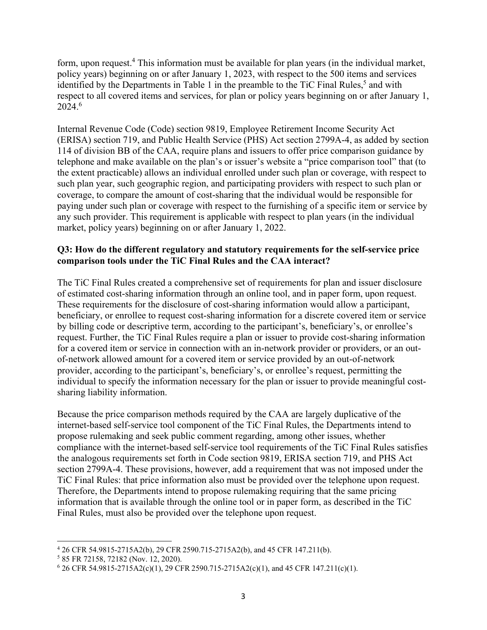form, upon request.<sup>4</sup> This information must be available for plan years (in the individual market, policy years) beginning on or after January 1, 2023, with respect to the 500 items and services identified by the Departments in Table 1 in the preamble to the TiC Final Rules,<sup>5</sup> and with respect to all covered items and services, for plan or policy years beginning on or after January 1, 2024.<sup>6</sup>

Internal Revenue Code (Code) section 9819, Employee Retirement Income Security Act (ERISA) section 719, and Public Health Service (PHS) Act section 2799A-4, as added by section 114 of division BB of the CAA, require plans and issuers to offer price comparison guidance by telephone and make available on the plan's or issuer's website a "price comparison tool" that (to the extent practicable) allows an individual enrolled under such plan or coverage, with respect to such plan year, such geographic region, and participating providers with respect to such plan or coverage, to compare the amount of cost-sharing that the individual would be responsible for paying under such plan or coverage with respect to the furnishing of a specific item or service by any such provider. This requirement is applicable with respect to plan years (in the individual market, policy years) beginning on or after January 1, 2022.

#### **Q3: How do the different regulatory and statutory requirements for the self-service price comparison tools under the TiC Final Rules and the CAA interact?**

The TiC Final Rules created a comprehensive set of requirements for plan and issuer disclosure of estimated cost-sharing information through an online tool, and in paper form, upon request. These requirements for the disclosure of cost-sharing information would allow a participant, beneficiary, or enrollee to request cost-sharing information for a discrete covered item or service by billing code or descriptive term, according to the participant's, beneficiary's, or enrollee's request. Further, the TiC Final Rules require a plan or issuer to provide cost-sharing information for a covered item or service in connection with an in-network provider or providers, or an outof-network allowed amount for a covered item or service provided by an out-of-network provider, according to the participant's, beneficiary's, or enrollee's request, permitting the individual to specify the information necessary for the plan or issuer to provide meaningful costsharing liability information.

Because the price comparison methods required by the CAA are largely duplicative of the internet-based self-service tool component of the TiC Final Rules, the Departments intend to propose rulemaking and seek public comment regarding, among other issues, whether compliance with the internet-based self-service tool requirements of the TiC Final Rules satisfies the analogous requirements set forth in Code section 9819, ERISA section 719, and PHS Act section 2799A-4. These provisions, however, add a requirement that was not imposed under the TiC Final Rules: that price information also must be provided over the telephone upon request. Therefore, the Departments intend to propose rulemaking requiring that the same pricing information that is available through the online tool or in paper form, as described in the TiC Final Rules, must also be provided over the telephone upon request.

 $\overline{a}$ 

<sup>4</sup> 26 CFR 54.9815-2715A2(b), 29 CFR 2590.715-2715A2(b), and 45 CFR 147.211(b).

<sup>5</sup> 85 FR 72158, 72182 (Nov. 12, 2020).

<sup>6</sup> 26 CFR 54.9815-2715A2(c)(1), 29 CFR 2590.715-2715A2(c)(1), and 45 CFR 147.211(c)(1).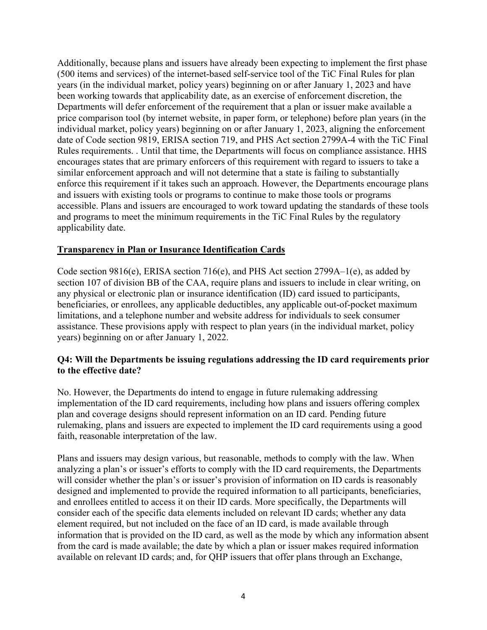Additionally, because plans and issuers have already been expecting to implement the first phase (500 items and services) of the internet-based self-service tool of the TiC Final Rules for plan years (in the individual market, policy years) beginning on or after January 1, 2023 and have been working towards that applicability date, as an exercise of enforcement discretion, the Departments will defer enforcement of the requirement that a plan or issuer make available a price comparison tool (by internet website, in paper form, or telephone) before plan years (in the individual market, policy years) beginning on or after January 1, 2023, aligning the enforcement date of Code section 9819, ERISA section 719, and PHS Act section 2799A-4 with the TiC Final Rules requirements. . Until that time, the Departments will focus on compliance assistance. HHS encourages states that are primary enforcers of this requirement with regard to issuers to take a similar enforcement approach and will not determine that a state is failing to substantially enforce this requirement if it takes such an approach. However, the Departments encourage plans and issuers with existing tools or programs to continue to make those tools or programs accessible. Plans and issuers are encouraged to work toward updating the standards of these tools and programs to meet the minimum requirements in the TiC Final Rules by the regulatory applicability date.

#### **Transparency in Plan or Insurance Identification Cards**

Code section 9816(e), ERISA section 716(e), and PHS Act section 2799A–1(e), as added by section 107 of division BB of the CAA, require plans and issuers to include in clear writing, on any physical or electronic plan or insurance identification (ID) card issued to participants, beneficiaries, or enrollees, any applicable deductibles, any applicable out-of-pocket maximum limitations, and a telephone number and website address for individuals to seek consumer assistance. These provisions apply with respect to plan years (in the individual market, policy years) beginning on or after January 1, 2022.

#### **Q4: Will the Departments be issuing regulations addressing the ID card requirements prior to the effective date?**

No. However, the Departments do intend to engage in future rulemaking addressing implementation of the ID card requirements, including how plans and issuers offering complex plan and coverage designs should represent information on an ID card. Pending future rulemaking, plans and issuers are expected to implement the ID card requirements using a good faith, reasonable interpretation of the law.

Plans and issuers may design various, but reasonable, methods to comply with the law. When analyzing a plan's or issuer's efforts to comply with the ID card requirements, the Departments will consider whether the plan's or issuer's provision of information on ID cards is reasonably designed and implemented to provide the required information to all participants, beneficiaries, and enrollees entitled to access it on their ID cards. More specifically, the Departments will consider each of the specific data elements included on relevant ID cards; whether any data element required, but not included on the face of an ID card, is made available through information that is provided on the ID card, as well as the mode by which any information absent from the card is made available; the date by which a plan or issuer makes required information available on relevant ID cards; and, for QHP issuers that offer plans through an Exchange,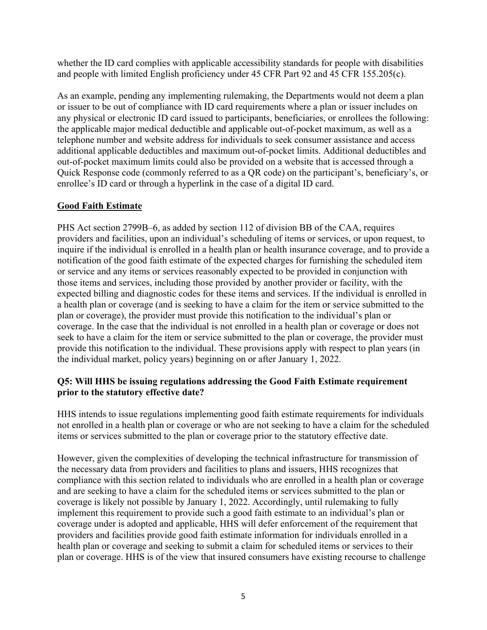whether the ID card complies with applicable accessibility standards for people with disabilities and people with limited English proficiency under 45 CFR Part 92 and 45 CFR 155.205(c).

As an example, pending any implementing rulemaking, the Departments would not deem a plan or issuer to be out of compliance with ID card requirements where a plan or issuer includes on any physical or electronic ID card issued to participants, beneficiaries, or enrollees the following: the applicable major medical deductible and applicable out-of-pocket maximum, as well as a telephone number and website address for individuals to seek consumer assistance and access additional applicable deductibles and maximum out-of-pocket limits. Additional deductibles and out-of-pocket maximum limits could also be provided on a website that is accessed through a Quick Response code (commonly referred to as a QR code) on the participant's, beneficiary's, or enrollee's ID card or through a hyperlink in the case of a digital ID card.

# **Good Faith Estimate**

PHS Act section 2799B–6, as added by section 112 of division BB of the CAA, requires providers and facilities, upon an individual's scheduling of items or services, or upon request, to inquire if the individual is enrolled in a health plan or health insurance coverage, and to provide a notification of the good faith estimate of the expected charges for furnishing the scheduled item or service and any items or services reasonably expected to be provided in conjunction with those items and services, including those provided by another provider or facility, with the expected billing and diagnostic codes for these items and services. If the individual is enrolled in a health plan or coverage (and is seeking to have a claim for the item or service submitted to the plan or coverage), the provider must provide this notification to the individual's plan or coverage. In the case that the individual is not enrolled in a health plan or coverage or does not seek to have a claim for the item or service submitted to the plan or coverage, the provider must provide this notification to the individual. These provisions apply with respect to plan years (in the individual market, policy years) beginning on or after January 1, 2022.

## **Q5: Will HHS be issuing regulations addressing the Good Faith Estimate requirement prior to the statutory effective date?**

HHS intends to issue regulations implementing good faith estimate requirements for individuals not enrolled in a health plan or coverage or who are not seeking to have a claim for the scheduled items or services submitted to the plan or coverage prior to the statutory effective date.

However, given the complexities of developing the technical infrastructure for transmission of the necessary data from providers and facilities to plans and issuers, HHS recognizes that compliance with this section related to individuals who are enrolled in a health plan or coverage and are seeking to have a claim for the scheduled items or services submitted to the plan or coverage is likely not possible by January 1, 2022. Accordingly, until rulemaking to fully implement this requirement to provide such a good faith estimate to an individual's plan or coverage under is adopted and applicable, HHS will defer enforcement of the requirement that providers and facilities provide good faith estimate information for individuals enrolled in a health plan or coverage and seeking to submit a claim for scheduled items or services to their plan or coverage. HHS is of the view that insured consumers have existing recourse to challenge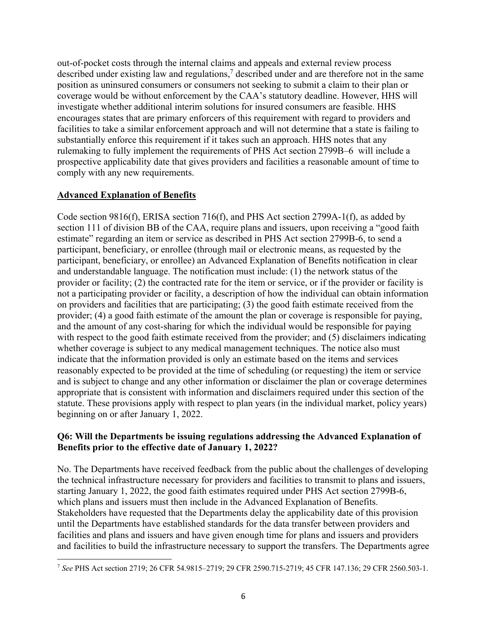out-of-pocket costs through the internal claims and appeals and external review process described under existing law and regulations,<sup>7</sup> described under and are therefore not in the same position as uninsured consumers or consumers not seeking to submit a claim to their plan or coverage would be without enforcement by the CAA's statutory deadline. However, HHS will investigate whether additional interim solutions for insured consumers are feasible. HHS encourages states that are primary enforcers of this requirement with regard to providers and facilities to take a similar enforcement approach and will not determine that a state is failing to substantially enforce this requirement if it takes such an approach. HHS notes that any rulemaking to fully implement the requirements of PHS Act section 2799B–6 will include a prospective applicability date that gives providers and facilities a reasonable amount of time to comply with any new requirements.

# **Advanced Explanation of Benefits**

Code section 9816(f), ERISA section 716(f), and PHS Act section 2799A-1(f), as added by section 111 of division BB of the CAA, require plans and issuers, upon receiving a "good faith estimate" regarding an item or service as described in PHS Act section 2799B-6, to send a participant, beneficiary, or enrollee (through mail or electronic means, as requested by the participant, beneficiary, or enrollee) an Advanced Explanation of Benefits notification in clear and understandable language. The notification must include: (1) the network status of the provider or facility; (2) the contracted rate for the item or service, or if the provider or facility is not a participating provider or facility, a description of how the individual can obtain information on providers and facilities that are participating; (3) the good faith estimate received from the provider; (4) a good faith estimate of the amount the plan or coverage is responsible for paying, and the amount of any cost-sharing for which the individual would be responsible for paying with respect to the good faith estimate received from the provider; and (5) disclaimers indicating whether coverage is subject to any medical management techniques. The notice also must indicate that the information provided is only an estimate based on the items and services reasonably expected to be provided at the time of scheduling (or requesting) the item or service and is subject to change and any other information or disclaimer the plan or coverage determines appropriate that is consistent with information and disclaimers required under this section of the statute. These provisions apply with respect to plan years (in the individual market, policy years) beginning on or after January 1, 2022.

## **Q6: Will the Departments be issuing regulations addressing the Advanced Explanation of Benefits prior to the effective date of January 1, 2022?**

No. The Departments have received feedback from the public about the challenges of developing the technical infrastructure necessary for providers and facilities to transmit to plans and issuers, starting January 1, 2022, the good faith estimates required under PHS Act section 2799B-6, which plans and issuers must then include in the Advanced Explanation of Benefits. Stakeholders have requested that the Departments delay the applicability date of this provision until the Departments have established standards for the data transfer between providers and facilities and plans and issuers and have given enough time for plans and issuers and providers and facilities to build the infrastructure necessary to support the transfers. The Departments agree

l <sup>7</sup> *See* PHS Act section 2719; 26 CFR 54.9815–2719; 29 CFR 2590.715-2719; 45 CFR 147.136; 29 CFR 2560.503-1.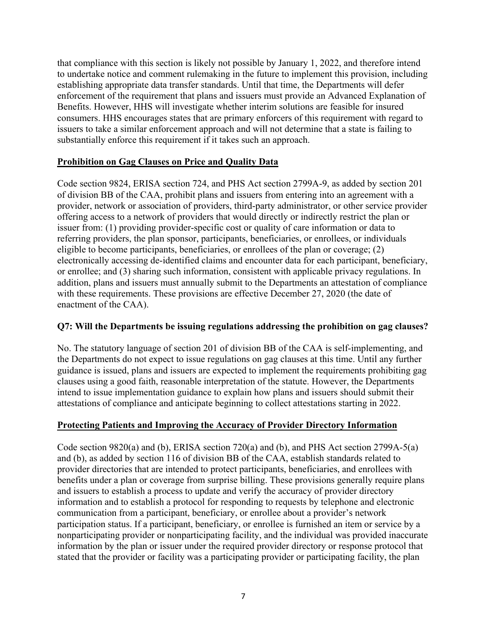that compliance with this section is likely not possible by January 1, 2022, and therefore intend to undertake notice and comment rulemaking in the future to implement this provision, including establishing appropriate data transfer standards. Until that time, the Departments will defer enforcement of the requirement that plans and issuers must provide an Advanced Explanation of Benefits. However, HHS will investigate whether interim solutions are feasible for insured consumers. HHS encourages states that are primary enforcers of this requirement with regard to issuers to take a similar enforcement approach and will not determine that a state is failing to substantially enforce this requirement if it takes such an approach.

## **Prohibition on Gag Clauses on Price and Quality Data**

Code section 9824, ERISA section 724, and PHS Act section 2799A-9, as added by section 201 of division BB of the CAA, prohibit plans and issuers from entering into an agreement with a provider, network or association of providers, third-party administrator, or other service provider offering access to a network of providers that would directly or indirectly restrict the plan or issuer from: (1) providing provider-specific cost or quality of care information or data to referring providers, the plan sponsor, participants, beneficiaries, or enrollees, or individuals eligible to become participants, beneficiaries, or enrollees of the plan or coverage; (2) electronically accessing de-identified claims and encounter data for each participant, beneficiary, or enrollee; and (3) sharing such information, consistent with applicable privacy regulations. In addition, plans and issuers must annually submit to the Departments an attestation of compliance with these requirements. These provisions are effective December 27, 2020 (the date of enactment of the CAA).

## **Q7: Will the Departments be issuing regulations addressing the prohibition on gag clauses?**

No. The statutory language of section 201 of division BB of the CAA is self-implementing, and the Departments do not expect to issue regulations on gag clauses at this time. Until any further guidance is issued, plans and issuers are expected to implement the requirements prohibiting gag clauses using a good faith, reasonable interpretation of the statute. However, the Departments intend to issue implementation guidance to explain how plans and issuers should submit their attestations of compliance and anticipate beginning to collect attestations starting in 2022.

# **Protecting Patients and Improving the Accuracy of Provider Directory Information**

Code section 9820(a) and (b), ERISA section 720(a) and (b), and PHS Act section 2799A-5(a) and (b), as added by section 116 of division BB of the CAA, establish standards related to provider directories that are intended to protect participants, beneficiaries, and enrollees with benefits under a plan or coverage from surprise billing. These provisions generally require plans and issuers to establish a process to update and verify the accuracy of provider directory information and to establish a protocol for responding to requests by telephone and electronic communication from a participant, beneficiary, or enrollee about a provider's network participation status. If a participant, beneficiary, or enrollee is furnished an item or service by a nonparticipating provider or nonparticipating facility, and the individual was provided inaccurate information by the plan or issuer under the required provider directory or response protocol that stated that the provider or facility was a participating provider or participating facility, the plan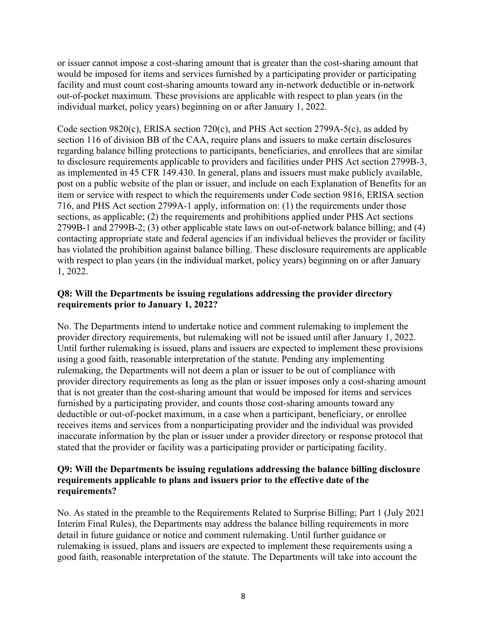or issuer cannot impose a cost-sharing amount that is greater than the cost-sharing amount that would be imposed for items and services furnished by a participating provider or participating facility and must count cost-sharing amounts toward any in-network deductible or in-network out-of-pocket maximum. These provisions are applicable with respect to plan years (in the individual market, policy years) beginning on or after January 1, 2022.

Code section 9820(c), ERISA section 720(c), and PHS Act section 2799A-5(c), as added by section 116 of division BB of the CAA, require plans and issuers to make certain disclosures regarding balance billing protections to participants, beneficiaries, and enrollees that are similar to disclosure requirements applicable to providers and facilities under PHS Act section 2799B-3, as implemented in 45 CFR 149.430. In general, plans and issuers must make publicly available, post on a public website of the plan or issuer, and include on each Explanation of Benefits for an item or service with respect to which the requirements under Code section 9816, ERISA section 716, and PHS Act section 2799A-1 apply, information on: (1) the requirements under those sections, as applicable; (2) the requirements and prohibitions applied under PHS Act sections 2799B-1 and 2799B-2; (3) other applicable state laws on out-of-network balance billing; and (4) contacting appropriate state and federal agencies if an individual believes the provider or facility has violated the prohibition against balance billing. These disclosure requirements are applicable with respect to plan years (in the individual market, policy years) beginning on or after January 1, 2022.

## **Q8: Will the Departments be issuing regulations addressing the provider directory requirements prior to January 1, 2022?**

No. The Departments intend to undertake notice and comment rulemaking to implement the provider directory requirements, but rulemaking will not be issued until after January 1, 2022. Until further rulemaking is issued, plans and issuers are expected to implement these provisions using a good faith, reasonable interpretation of the statute. Pending any implementing rulemaking, the Departments will not deem a plan or issuer to be out of compliance with provider directory requirements as long as the plan or issuer imposes only a cost-sharing amount that is not greater than the cost-sharing amount that would be imposed for items and services furnished by a participating provider, and counts those cost-sharing amounts toward any deductible or out-of-pocket maximum, in a case when a participant, beneficiary, or enrollee receives items and services from a nonparticipating provider and the individual was provided inaccurate information by the plan or issuer under a provider directory or response protocol that stated that the provider or facility was a participating provider or participating facility.

#### **Q9: Will the Departments be issuing regulations addressing the balance billing disclosure requirements applicable to plans and issuers prior to the effective date of the requirements?**

No. As stated in the preamble to the Requirements Related to Surprise Billing; Part 1 (July 2021 Interim Final Rules), the Departments may address the balance billing requirements in more detail in future guidance or notice and comment rulemaking. Until further guidance or rulemaking is issued, plans and issuers are expected to implement these requirements using a good faith, reasonable interpretation of the statute. The Departments will take into account the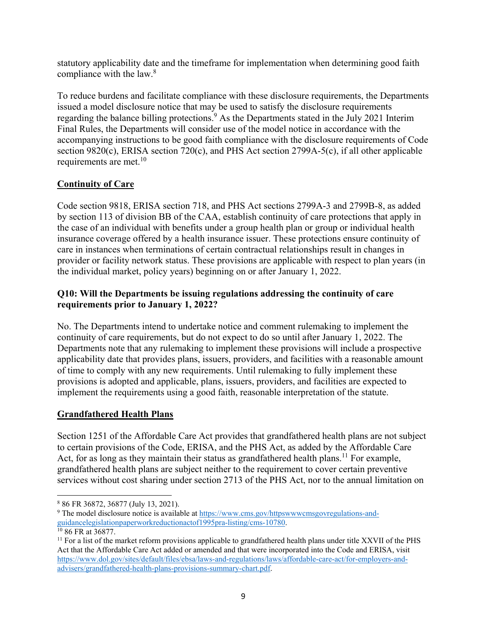statutory applicability date and the timeframe for implementation when determining good faith compliance with the law.<sup>8</sup>

To reduce burdens and facilitate compliance with these disclosure requirements, the Departments issued a model disclosure notice that may be used to satisfy the disclosure requirements regarding the balance billing protections.<sup>9</sup> As the Departments stated in the July 2021 Interim Final Rules, the Departments will consider use of the model notice in accordance with the accompanying instructions to be good faith compliance with the disclosure requirements of Code section 9820(c), ERISA section 720(c), and PHS Act section 2799A-5(c), if all other applicable requirements are met. $10$ 

# **Continuity of Care**

Code section 9818, ERISA section 718, and PHS Act sections 2799A-3 and 2799B-8, as added by section 113 of division BB of the CAA, establish continuity of care protections that apply in the case of an individual with benefits under a group health plan or group or individual health insurance coverage offered by a health insurance issuer. These protections ensure continuity of care in instances when terminations of certain contractual relationships result in changes in provider or facility network status. These provisions are applicable with respect to plan years (in the individual market, policy years) beginning on or after January 1, 2022.

# **Q10: Will the Departments be issuing regulations addressing the continuity of care requirements prior to January 1, 2022?**

No. The Departments intend to undertake notice and comment rulemaking to implement the continuity of care requirements, but do not expect to do so until after January 1, 2022. The Departments note that any rulemaking to implement these provisions will include a prospective applicability date that provides plans, issuers, providers, and facilities with a reasonable amount of time to comply with any new requirements. Until rulemaking to fully implement these provisions is adopted and applicable, plans, issuers, providers, and facilities are expected to implement the requirements using a good faith, reasonable interpretation of the statute.

# **Grandfathered Health Plans**

Section 1251 of the Affordable Care Act provides that grandfathered health plans are not subject to certain provisions of the Code, ERISA, and the PHS Act, as added by the Affordable Care Act, for as long as they maintain their status as grandfathered health plans.<sup>11</sup> For example, grandfathered health plans are subject neither to the requirement to cover certain preventive services without cost sharing under section 2713 of the PHS Act, nor to the annual limitation on

 $\overline{\phantom{a}}$ 

<sup>8</sup> 86 FR 36872, 36877 (July 13, 2021).

<sup>&</sup>lt;sup>9</sup> The model disclosure notice is available at  $\frac{https://www.cms.gov/httpswwwcmsgovregulations-and-guidancelegislation paper workreduction (1995) pra-listing/cms-10780.$ 

<sup>&</sup>lt;sup>10</sup> 86 FR at 36877.<br><sup>11</sup> For a list of the market reform provisions applicable to grandfathered health plans under title XXVII of the PHS Act that the Affordable Care Act added or amended and that were incorporated into the Code and ERISA, visit [https://www.dol.gov/sites/default/files/ebsa/laws-and-regulations/laws/affordable-care-act/for-employers-and](https://www.dol.gov/sites/default/files/ebsa/laws-and-regulations/laws/affordable-care-act/for-employers-and-advisers/grandfathered-health-plans-provisions-summary-chart.pdf)[advisers/grandfathered-health-plans-provisions-summary-chart.pdf.](https://www.dol.gov/sites/default/files/ebsa/laws-and-regulations/laws/affordable-care-act/for-employers-and-advisers/grandfathered-health-plans-provisions-summary-chart.pdf)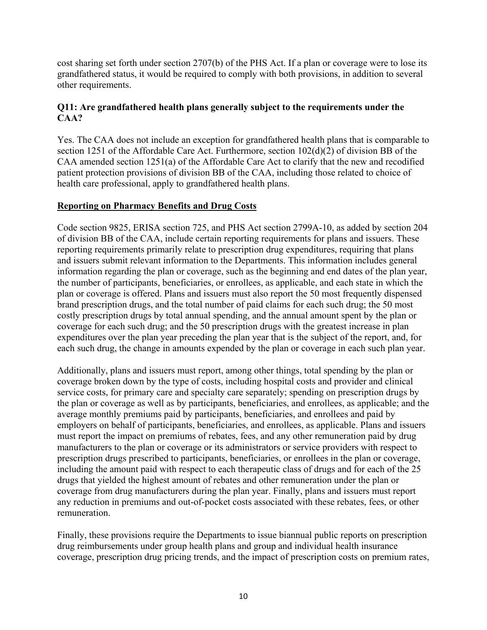cost sharing set forth under section 2707(b) of the PHS Act. If a plan or coverage were to lose its grandfathered status, it would be required to comply with both provisions, in addition to several other requirements.

# **Q11: Are grandfathered health plans generally subject to the requirements under the CAA?**

Yes. The CAA does not include an exception for grandfathered health plans that is comparable to section 1251 of the Affordable Care Act. Furthermore, section 102(d)(2) of division BB of the CAA amended section 1251(a) of the Affordable Care Act to clarify that the new and recodified patient protection provisions of division BB of the CAA, including those related to choice of health care professional, apply to grandfathered health plans.

## **Reporting on Pharmacy Benefits and Drug Costs**

Code section 9825, ERISA section 725, and PHS Act section 2799A-10, as added by section 204 of division BB of the CAA, include certain reporting requirements for plans and issuers. These reporting requirements primarily relate to prescription drug expenditures, requiring that plans and issuers submit relevant information to the Departments. This information includes general information regarding the plan or coverage, such as the beginning and end dates of the plan year, the number of participants, beneficiaries, or enrollees, as applicable, and each state in which the plan or coverage is offered. Plans and issuers must also report the 50 most frequently dispensed brand prescription drugs, and the total number of paid claims for each such drug; the 50 most costly prescription drugs by total annual spending, and the annual amount spent by the plan or coverage for each such drug; and the 50 prescription drugs with the greatest increase in plan expenditures over the plan year preceding the plan year that is the subject of the report, and, for each such drug, the change in amounts expended by the plan or coverage in each such plan year.

Additionally, plans and issuers must report, among other things, total spending by the plan or coverage broken down by the type of costs, including hospital costs and provider and clinical service costs, for primary care and specialty care separately; spending on prescription drugs by the plan or coverage as well as by participants, beneficiaries, and enrollees, as applicable; and the average monthly premiums paid by participants, beneficiaries, and enrollees and paid by employers on behalf of participants, beneficiaries, and enrollees, as applicable. Plans and issuers must report the impact on premiums of rebates, fees, and any other remuneration paid by drug manufacturers to the plan or coverage or its administrators or service providers with respect to prescription drugs prescribed to participants, beneficiaries, or enrollees in the plan or coverage, including the amount paid with respect to each therapeutic class of drugs and for each of the 25 drugs that yielded the highest amount of rebates and other remuneration under the plan or coverage from drug manufacturers during the plan year. Finally, plans and issuers must report any reduction in premiums and out-of-pocket costs associated with these rebates, fees, or other remuneration.

Finally, these provisions require the Departments to issue biannual public reports on prescription drug reimbursements under group health plans and group and individual health insurance coverage, prescription drug pricing trends, and the impact of prescription costs on premium rates,